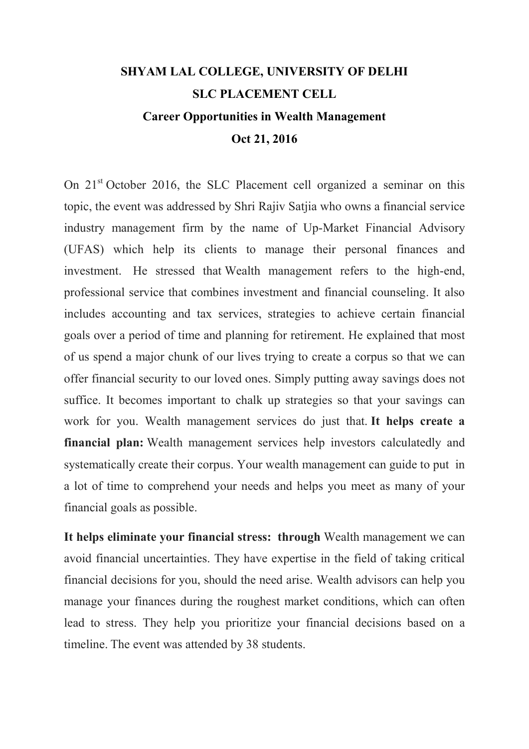## SHYAM LAL COLLEGE, UNIVERSITY OF DELHI SLC PLACEMENT CELL Career Opportunities in Wealth Management Oct 21, 2016

On  $21<sup>st</sup>$  October 2016, the SLC Placement cell organized a seminar on this topic, the event was addressed by Shri Rajiv Satjia who owns a financial service industry management firm by the name of Up-Market Financial Advisory (UFAS) which help its clients to manage their personal finances and investment. He stressed that Wealth management refers to the high-end, professional service that combines investment and financial counseling. It also includes accounting and tax services, strategies to achieve certain financial goals over a period of time and planning for retirement. He explained that most of us spend a major chunk of our lives trying to create a corpus so that we can offer financial security to our loved ones. Simply putting away savings does not suffice. It becomes important to chalk up strategies so that your savings can work for you. Wealth management services do just that. It helps create a financial plan: Wealth management services help investors calculatedly and systematically create their corpus. Your wealth management can guide to put in a lot of time to comprehend your needs and helps you meet as many of your financial goals as possible.

It helps eliminate your financial stress: through Wealth management we can avoid financial uncertainties. They have expertise in the field of taking critical financial decisions for you, should the need arise. Wealth advisors can help you manage your finances during the roughest market conditions, which can often lead to stress. They help you prioritize your financial decisions based on a timeline. The event was attended by 38 students.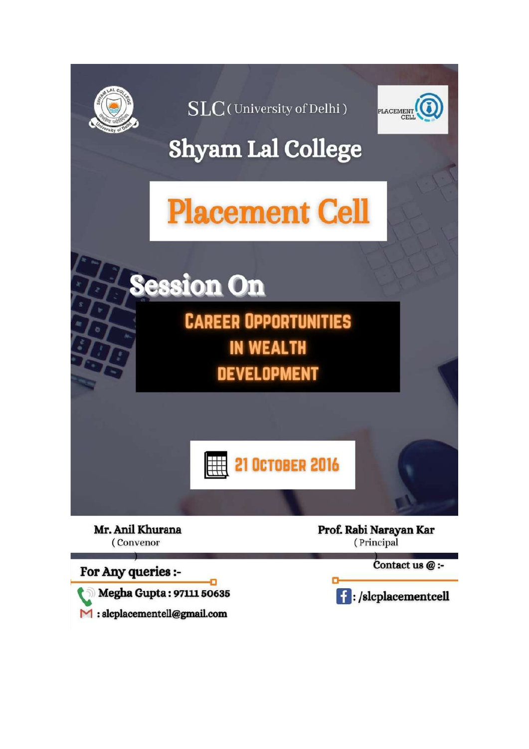

SLC(University of Delhi)



## **Shyam Lal College**

## **Placement Cell**

**Session On CAREER OPPORTUNITIES IN WEALTH** 

**DEVELOPMENT** 



Mr. Anil Khurana (Convenor

For Any queries :-

Megha Gupta: 97111 50635

 $\mathbf{M}$ : slcplacementell@gmail.com

Prof. Rabi Narayan Kar (Principal

Contact us @ :-

**f**: /slcplacementcell